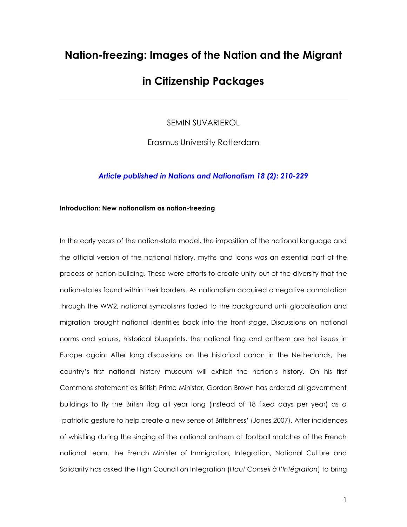# **Nation-freezing: Images of the Nation and the Migrant**

## **in Citizenship Packages**

SEMIN SUVARIEROL

Erasmus University Rotterdam

### *Article published in Nations and Nationalism 18 (2): 210-229*

### **Introduction: New nationalism as nation-freezing**

In the early years of the nation-state model, the imposition of the national language and the official version of the national history, myths and icons was an essential part of the process of nation-building. These were efforts to create unity out of the diversity that the nation-states found within their borders. As nationalism acquired a negative connotation through the WW2, national symbolisms faded to the background until globalisation and migration brought national identities back into the front stage. Discussions on national norms and values, historical blueprints, the national flag and anthem are hot issues in Europe again: After long discussions on the historical canon in the Netherlands, the country's first national history museum will exhibit the nation's history. On his first Commons statement as British Prime Minister, Gordon Brown has ordered all government buildings to fly the British flag all year long (instead of 18 fixed days per year) as a 'patriotic gesture to help create a new sense of Britishness' (Jones 2007). After incidences of whistling during the singing of the national anthem at football matches of the French national team, the French Minister of Immigration, Integration, National Culture and Solidarity has asked the High Council on Integration (*Haut Conseil à l'Intégration*) to bring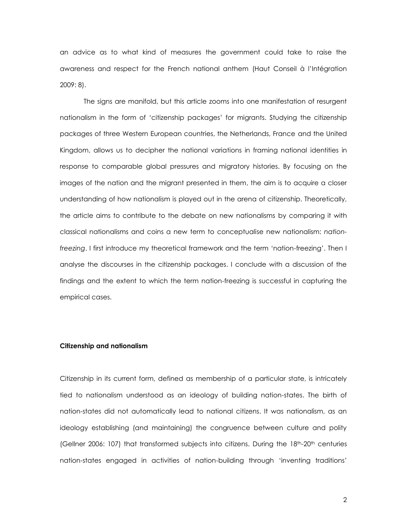an advice as to what kind of measures the government could take to raise the awareness and respect for the French national anthem (Haut Conseil à l'Intégration 2009: 8).

The signs are manifold, but this article zooms into one manifestation of resurgent nationalism in the form of 'citizenship packages' for migrants. Studying the citizenship packages of three Western European countries, the Netherlands, France and the United Kingdom, allows us to decipher the national variations in framing national identities in response to comparable global pressures and migratory histories. By focusing on the images of the nation and the migrant presented in them, the aim is to acquire a closer understanding of how nationalism is played out in the arena of citizenship. Theoretically, the article aims to contribute to the debate on new nationalisms by comparing it with classical nationalisms and coins a new term to conceptualise new nationalism: *nationfreezing*. I first introduce my theoretical framework and the term 'nation-freezing'. Then I analyse the discourses in the citizenship packages. I conclude with a discussion of the findings and the extent to which the term nation-freezing is successful in capturing the empirical cases.

### **Citizenship and nationalism**

Citizenship in its current form, defined as membership of a particular state, is intricately tied to nationalism understood as an ideology of building nation-states. The birth of nation-states did not automatically lead to national citizens. It was nationalism, as an ideology establishing (and maintaining) the congruence between culture and polity (Gellner 2006: 107) that transformed subjects into citizens. During the  $18<sup>th</sup>$ -20<sup>th</sup> centuries nation-states engaged in activities of nation-building through 'inventing traditions'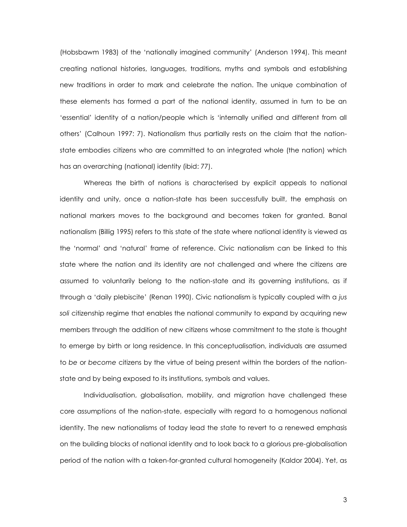(Hobsbawm 1983) of the 'nationally imagined community' (Anderson 1994). This meant creating national histories, languages, traditions, myths and symbols and establishing new traditions in order to mark and celebrate the nation. The unique combination of these elements has formed a part of the national identity, assumed in turn to be an 'essential' identity of a nation/people which is 'internally unified and different from all others' (Calhoun 1997: 7). Nationalism thus partially rests on the claim that the nationstate embodies citizens who are committed to an integrated whole (the nation) which has an overarching (national) identity (ibid: 77).

Whereas the birth of nations is characterised by explicit appeals to national identity and unity, once a nation-state has been successfully built, the emphasis on national markers moves to the background and becomes taken for granted. Banal nationalism (Billig 1995) refers to this state of the state where national identity is viewed as the 'normal' and 'natural' frame of reference. Civic nationalism can be linked to this state where the nation and its identity are not challenged and where the citizens are assumed to voluntarily belong to the nation-state and its governing institutions, as if through a 'daily plebiscite' (Renan 1990). Civic nationalism is typically coupled with a *jus soli* citizenship regime that enables the national community to expand by acquiring new members through the addition of new citizens whose commitment to the state is thought to emerge by birth or long residence. In this conceptualisation, individuals are assumed to *be* or *become* citizens by the virtue of being present within the borders of the nationstate and by being exposed to its institutions, symbols and values.

Individualisation, globalisation, mobility, and migration have challenged these core assumptions of the nation-state, especially with regard to a homogenous national identity. The new nationalisms of today lead the state to revert to a renewed emphasis on the building blocks of national identity and to look back to a glorious pre-globalisation period of the nation with a taken-for-granted cultural homogeneity (Kaldor 2004). Yet, as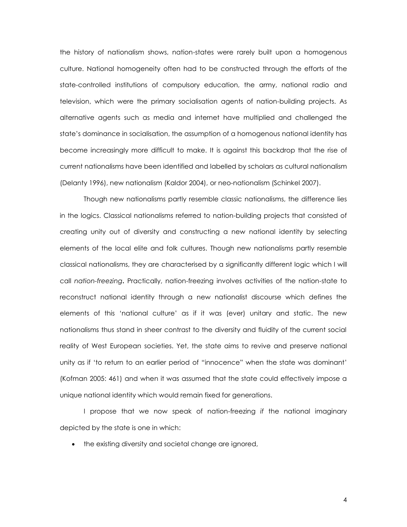the history of nationalism shows, nation-states were rarely built upon a homogenous culture. National homogeneity often had to be constructed through the efforts of the state-controlled institutions of compulsory education, the army, national radio and television, which were the primary socialisation agents of nation-building projects. As alternative agents such as media and internet have multiplied and challenged the state's dominance in socialisation, the assumption of a homogenous national identity has become increasingly more difficult to make. It is against this backdrop that the rise of current nationalisms have been identified and labelled by scholars as cultural nationalism (Delanty 1996), new nationalism (Kaldor 2004), or neo-nationalism (Schinkel 2007).

Though new nationalisms partly resemble classic nationalisms, the difference lies in the logics. Classical nationalisms referred to nation-building projects that consisted of creating unity out of diversity and constructing a new national identity by selecting elements of the local elite and folk cultures. Though new nationalisms partly resemble classical nationalisms, they are characterised by a significantly different logic which I will call *nation-freezing***.** Practically, nation-freezing involves activities of the nation-state to reconstruct national identity through a new nationalist discourse which defines the elements of this 'national culture' as if it was (ever) unitary and static. The new nationalisms thus stand in sheer contrast to the diversity and fluidity of the current social reality of West European societies. Yet, the state aims to revive and preserve national unity as if 'to return to an earlier period of "innocence" when the state was dominant' (Kofman 2005: 461) and when it was assumed that the state could effectively impose a unique national identity which would remain fixed for generations.

I propose that we now speak of nation-freezing *if* the national imaginary depicted by the state is one in which:

• the existing diversity and societal change are ignored,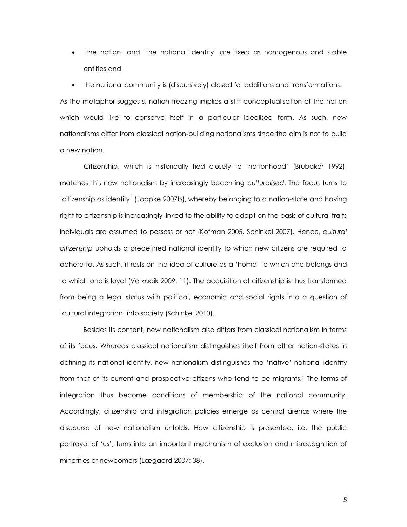- 'the nation' and 'the national identity' are fixed as homogenous and stable entities and
- the national community is (discursively) closed for additions and transformations.

As the metaphor suggests, nation-freezing implies a stiff conceptualisation of the nation which would like to conserve itself in a particular idealised form. As such, new nationalisms differ from classical nation-building nationalisms since the aim is not to build a new nation.

Citizenship, which is historically tied closely to 'nationhood' (Brubaker 1992), matches this new nationalism by increasingly becoming *culturalised*. The focus turns to 'citizenship as identity' (Joppke 2007b), whereby belonging to a nation-state and having right to citizenship is increasingly linked to the ability to adapt on the basis of cultural traits individuals are assumed to possess or not (Kofman 2005, Schinkel 2007). Hence, *cultural citizenship* upholds a predefined national identity to which new citizens are required to adhere to. As such, it rests on the idea of culture as a 'home' to which one belongs and to which one is loyal (Verkaaik 2009: 11). The acquisition of citizenship is thus transformed from being a legal status with political, economic and social rights into a question of 'cultural integration' into society (Schinkel 2010).

Besides its content, new nationalism also differs from classical nationalism in terms of its focus. Whereas classical nationalism distinguishes itself from other nation-states in defining its national identity, new nationalism distinguishes the 'native' national identity from that of its current and prospective citizens who tend to be migrants.<sup>1</sup> The terms of integration thus become conditions of membership of the national community. Accordingly, citizenship and integration policies emerge as central arenas where the discourse of new nationalism unfolds. How citizenship is presented, i.e. the public portrayal of 'us', turns into an important mechanism of exclusion and misrecognition of minorities or newcomers (Lægaard 2007: 38).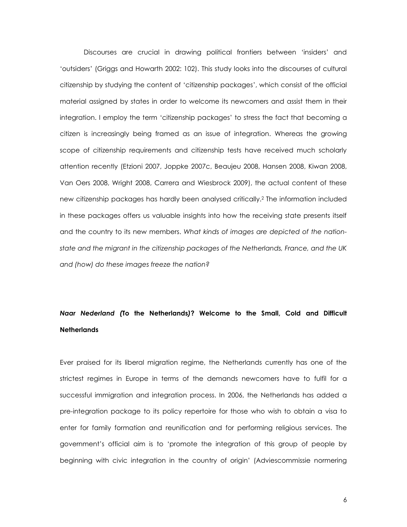Discourses are crucial in drawing political frontiers between 'insiders' and 'outsiders' (Griggs and Howarth 2002: 102). This study looks into the discourses of cultural citizenship by studying the content of 'citizenship packages', which consist of the official material assigned by states in order to welcome its newcomers and assist them in their integration. I employ the term 'citizenship packages' to stress the fact that becoming a citizen is increasingly being framed as an issue of integration. Whereas the growing scope of citizenship requirements and citizenship tests have received much scholarly attention recently (Etzioni 2007, Joppke 2007c, Beaujeu 2008, Hansen 2008, Kiwan 2008, Van Oers 2008, Wright 2008, Carrera and Wiesbrock 2009), the actual content of these new citizenship packages has hardly been analysed critically. <sup>2</sup> The information included in these packages offers us valuable insights into how the receiving state presents itself and the country to its new members. *What kinds of images are depicted of the nationstate and the migrant in the citizenship packages of the Netherlands, France, and the UK and (how) do these images freeze the nation?* 

## *Naar Nederland (***To the Netherlands***)***? Welcome to the Small, Cold and Difficult Netherlands**

Ever praised for its liberal migration regime, the Netherlands currently has one of the strictest regimes in Europe in terms of the demands newcomers have to fulfil for a successful immigration and integration process. In 2006, the Netherlands has added a pre-integration package to its policy repertoire for those who wish to obtain a visa to enter for family formation and reunification and for performing religious services. The government's official aim is to 'promote the integration of this group of people by beginning with civic integration in the country of origin' (Adviescommissie normering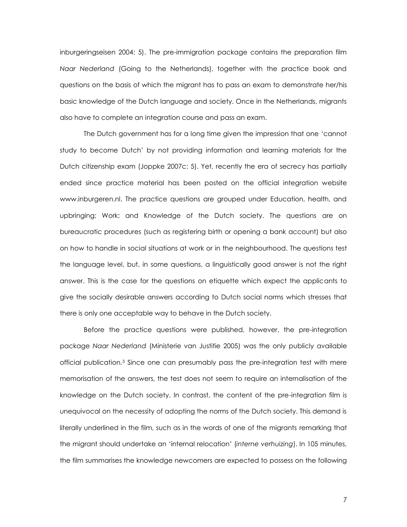inburgeringseisen 2004: 5). The pre-immigration package contains the preparation film *Naar Nederland* (Going to the Netherlands), together with the practice book and questions on the basis of which the migrant has to pass an exam to demonstrate her/his basic knowledge of the Dutch language and society. Once in the Netherlands, migrants also have to complete an integration course and pass an exam.

The Dutch government has for a long time given the impression that one 'cannot study to become Dutch' by not providing information and learning materials for the Dutch citizenship exam (Joppke 2007c: 5). Yet, recently the era of secrecy has partially ended since practice material has been posted on the official integration website www.inburgeren.nl. The practice questions are grouped under Education, health, and upbringing; Work; and Knowledge of the Dutch society. The questions are on bureaucratic procedures (such as registering birth or opening a bank account) but also on how to handle in social situations at work or in the neighbourhood. The questions test the language level, but, in some questions, a linguistically good answer is not the right answer. This is the case for the questions on etiquette which expect the applicants to give the socially desirable answers according to Dutch social norms which stresses that there is only one acceptable way to behave in the Dutch society.

Before the practice questions were published, however, the pre-integration package *Naar Nederland* (Ministerie van Justitie 2005) was the only publicly available official publication.<sup>3</sup> Since one can presumably pass the pre-integration test with mere memorisation of the answers, the test does not seem to require an internalisation of the knowledge on the Dutch society. In contrast, the content of the pre-integration film is unequivocal on the necessity of adopting the norms of the Dutch society. This demand is literally underlined in the film, such as in the words of one of the migrants remarking that the migrant should undertake an 'internal relocation' (*interne verhuizing*). In 105 minutes, the film summarises the knowledge newcomers are expected to possess on the following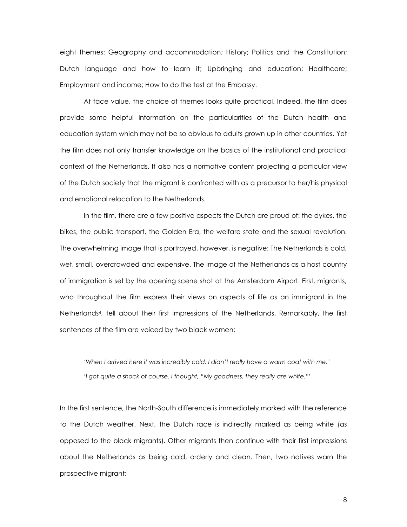eight themes: Geography and accommodation; History; Politics and the Constitution; Dutch language and how to learn it; Upbringing and education; Healthcare; Employment and income; How to do the test at the Embassy.

At face value, the choice of themes looks quite practical. Indeed, the film does provide some helpful information on the particularities of the Dutch health and education system which may not be so obvious to adults grown up in other countries. Yet the film does not only transfer knowledge on the basics of the institutional and practical context of the Netherlands. It also has a normative content projecting a particular view of the Dutch society that the migrant is confronted with as a precursor to her/his physical and emotional relocation to the Netherlands.

In the film, there are a few positive aspects the Dutch are proud of: the dykes, the bikes, the public transport, the Golden Era, the welfare state and the sexual revolution. The overwhelming image that is portrayed, however, is negative: The Netherlands is cold, wet, small, overcrowded and expensive. The image of the Netherlands as a host country of immigration is set by the opening scene shot at the Amsterdam Airport. First, migrants, who throughout the film express their views on aspects of life as an immigrant in the Netherlands4, tell about their first impressions of the Netherlands. Remarkably, the first sentences of the film are voiced by two black women:

*'When I arrived here it was incredibly cold. I didn't really have a warm coat with me.' 'I got quite a shock of course. I thought, "My goodness, they really are white."'*

In the first sentence, the North-South difference is immediately marked with the reference to the Dutch weather. Next, the Dutch race is indirectly marked as being white (as opposed to the black migrants). Other migrants then continue with their first impressions about the Netherlands as being cold, orderly and clean. Then, two natives warn the prospective migrant: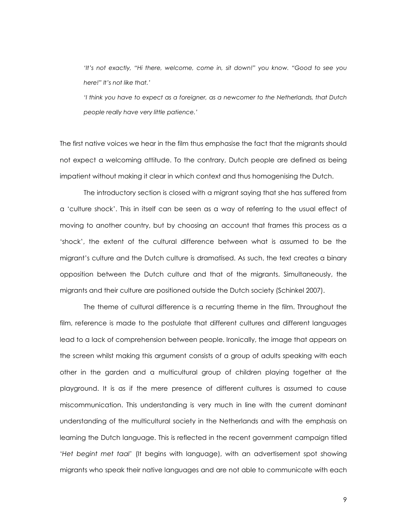*'It's not exactly, "Hi there, welcome, come in, sit down!" you know. "Good to see you here!" It's not like that.'*

*'I think you have to expect as a foreigner, as a newcomer to the Netherlands, that Dutch people really have very little patience.'*

The first native voices we hear in the film thus emphasise the fact that the migrants should not expect a welcoming attitude. To the contrary, Dutch people are defined as being impatient without making it clear in which context and thus homogenising the Dutch.

The introductory section is closed with a migrant saying that she has suffered from a 'culture shock'. This in itself can be seen as a way of referring to the usual effect of moving to another country, but by choosing an account that frames this process as a 'shock', the extent of the cultural difference between what is assumed to be the migrant's culture and the Dutch culture is dramatised. As such, the text creates a binary opposition between the Dutch culture and that of the migrants. Simultaneously, the migrants and their culture are positioned outside the Dutch society (Schinkel 2007).

The theme of cultural difference is a recurring theme in the film. Throughout the film, reference is made to the postulate that different cultures and different languages lead to a lack of comprehension between people. Ironically, the image that appears on the screen whilst making this argument consists of a group of adults speaking with each other in the garden and a multicultural group of children playing together at the playground. It is as if the mere presence of different cultures is assumed to cause miscommunication. This understanding is very much in line with the current dominant understanding of the multicultural society in the Netherlands and with the emphasis on learning the Dutch language. This is reflected in the recent government campaign titled '*Het begint met taal*' (It begins with language), with an advertisement spot showing migrants who speak their native languages and are not able to communicate with each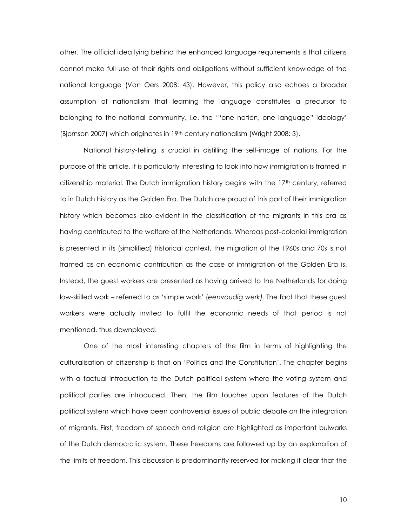other. The official idea lying behind the enhanced language requirements is that citizens cannot make full use of their rights and obligations without sufficient knowledge of the national language (Van Oers 2008: 43). However, this policy also echoes a broader assumption of nationalism that learning the language constitutes a precursor to belonging to the national community, i.e. the '"one nation, one language" ideology' (Bjornson 2007) which originates in 19th century nationalism (Wright 2008: 3).

National history-telling is crucial in distilling the self-image of nations. For the purpose of this article, it is particularly interesting to look into how immigration is framed in citizenship material. The Dutch immigration history begins with the  $17<sup>th</sup>$  century, referred to in Dutch history as the Golden Era. The Dutch are proud of this part of their immigration history which becomes also evident in the classification of the migrants in this era as having contributed to the welfare of the Netherlands. Whereas post-colonial immigration is presented in its (simplified) historical context, the migration of the 1960s and 70s is not framed as an economic contribution as the case of immigration of the Golden Era is. Instead, the guest workers are presented as having arrived to the Netherlands for doing low-skilled work – referred to as 'simple work*'* (*eenvoudig werk)*. The fact that these guest workers were actually invited to fulfil the economic needs of that period is not mentioned, thus downplayed.

One of the most interesting chapters of the film in terms of highlighting the culturalisation of citizenship is that on 'Politics and the Constitution'. The chapter begins with a factual introduction to the Dutch political system where the voting system and political parties are introduced. Then, the film touches upon features of the Dutch political system which have been controversial issues of public debate on the integration of migrants. First, freedom of speech and religion are highlighted as important bulwarks of the Dutch democratic system. These freedoms are followed up by an explanation of the limits of freedom. This discussion is predominantly reserved for making it clear that the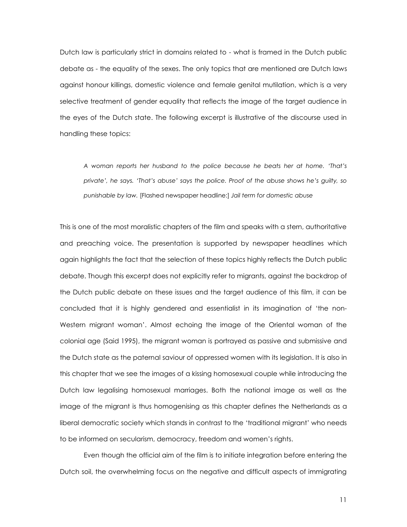Dutch law is particularly strict in domains related to - what is framed in the Dutch public debate as - the equality of the sexes. The only topics that are mentioned are Dutch laws against honour killings, domestic violence and female genital mutilation, which is a very selective treatment of gender equality that reflects the image of the target audience in the eyes of the Dutch state. The following excerpt is illustrative of the discourse used in handling these topics:

*A woman reports her husband to the police because he beats her at home. 'That's private', he says. 'That's abuse' says the police. Proof of the abuse shows he's guilty, so punishable by law.* [Flashed newspaper headline:] *Jail term for domestic abuse*

This is one of the most moralistic chapters of the film and speaks with a stern, authoritative and preaching voice. The presentation is supported by newspaper headlines which again highlights the fact that the selection of these topics highly reflects the Dutch public debate. Though this excerpt does not explicitly refer to migrants, against the backdrop of the Dutch public debate on these issues and the target audience of this film, it can be concluded that it is highly gendered and essentialist in its imagination of 'the non-Western migrant woman'. Almost echoing the image of the Oriental woman of the colonial age (Said 1995), the migrant woman is portrayed as passive and submissive and the Dutch state as the paternal saviour of oppressed women with its legislation. It is also in this chapter that we see the images of a kissing homosexual couple while introducing the Dutch law legalising homosexual marriages. Both the national image as well as the image of the migrant is thus homogenising as this chapter defines the Netherlands as a liberal democratic society which stands in contrast to the 'traditional migrant' who needs to be informed on secularism, democracy, freedom and women's rights.

Even though the official aim of the film is to initiate integration before entering the Dutch soil, the overwhelming focus on the negative and difficult aspects of immigrating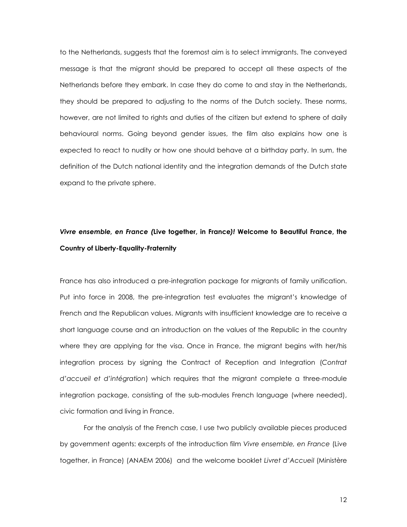to the Netherlands, suggests that the foremost aim is to select immigrants. The conveyed message is that the migrant should be prepared to accept all these aspects of the Netherlands before they embark. In case they do come to and stay in the Netherlands, they should be prepared to adjusting to the norms of the Dutch society. These norms, however, are not limited to rights and duties of the citizen but extend to sphere of daily behavioural norms. Going beyond gender issues, the film also explains how one is expected to react to nudity or how one should behave at a birthday party. In sum, the definition of the Dutch national identity and the integration demands of the Dutch state expand to the private sphere.

## *Vivre ensemble, en France (***Live together, in France***)!* **Welcome to Beautiful France, the Country of Liberty-Equality-Fraternity**

France has also introduced a pre-integration package for migrants of family unification. Put into force in 2008, the pre-integration test evaluates the migrant's knowledge of French and the Republican values. Migrants with insufficient knowledge are to receive a short language course and an introduction on the values of the Republic in the country where they are applying for the visa. Once in France, the migrant begins with her/his integration process by signing the Contract of Reception and Integration (*Contrat d'accueil et d'intégration*) which requires that the migrant complete a three-module integration package, consisting of the sub-modules French language (where needed), civic formation and living in France.

For the analysis of the French case, I use two publicly available pieces produced by government agents: excerpts of the introduction film *Vivre ensemble, en France* (Live together, in France) (ANAEM 2006) and the welcome booklet *Livret d'Accueil* (Ministère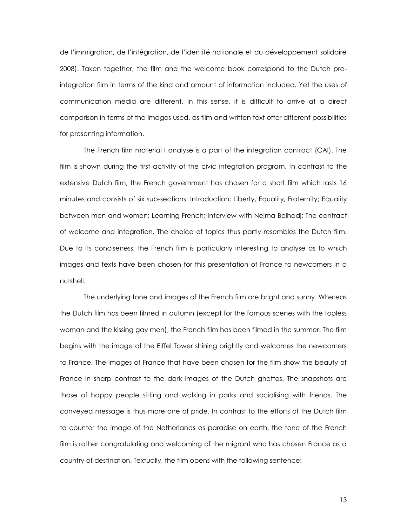de l'immigration, de l'intégration, de l'identité nationale et du développement solidaire 2008). Taken together, the film and the welcome book correspond to the Dutch preintegration film in terms of the kind and amount of information included. Yet the uses of communication media are different. In this sense, it is difficult to arrive at a direct comparison in terms of the images used, as film and written text offer different possibilities for presenting information.

The French film material I analyse is a part of the integration contract (CAI). The film is shown during the first activity of the civic integration program. In contrast to the extensive Dutch film, the French government has chosen for a short film which lasts 16 minutes and consists of six sub-sections: Introduction; Liberty, Equality, Fraternity; Equality between men and women; Learning French; Interview with Nejma Belhadj; The contract of welcome and integration. The choice of topics thus partly resembles the Dutch film. Due to its conciseness, the French film is particularly interesting to analyse as to which images and texts have been chosen for this presentation of France to newcomers in a nutshell.

The underlying tone and images of the French film are bright and sunny. Whereas the Dutch film has been filmed in autumn (except for the famous scenes with the topless woman and the kissing gay men), the French film has been filmed in the summer. The film begins with the image of the Eiffel Tower shining brightly and welcomes the newcomers to France. The images of France that have been chosen for the film show the beauty of France in sharp contrast to the dark images of the Dutch ghettos. The snapshots are those of happy people sitting and walking in parks and socialising with friends. The conveyed message is thus more one of pride. In contrast to the efforts of the Dutch film to counter the image of the Netherlands as paradise on earth, the tone of the French film is rather congratulating and welcoming of the migrant who has chosen France as a country of destination. Textually, the film opens with the following sentence: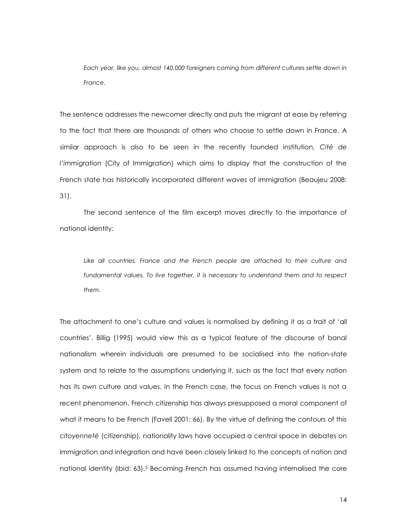*Each year, like you, almost 140,000 foreigners coming from different cultures settle down in France.*

The sentence addresses the newcomer directly and puts the migrant at ease by referring to the fact that there are thousands of others who choose to settle down in France. A similar approach is also to be seen in the recently founded institution, *Cité de l'immigration* (City of Immigration) which aims to display that the construction of the French state has historically incorporated different waves of immigration (Beaujeu 2008: 31).

The second sentence of the film excerpt moves directly to the importance of national identity:

Like all countries, France and the French people are attached to their culture and *fundamental values. To live together, it is necessary to understand them and to respect them.*

The attachment to one's culture and values is normalised by defining it as a trait of 'all countries'. Billig (1995) would view this as a typical feature of the discourse of banal nationalism wherein individuals are presumed to be socialised into the nation-state system and to relate to the assumptions underlying it, such as the fact that every nation has its own culture and values. In the French case, the focus on French values is not a recent phenomenon. French citizenship has always presupposed a moral component of what it means to be French (Favell 2001: 66). By the virtue of defining the contours of this *citoyenneté* (citizenship)*,* nationality laws have occupied a central space in debates on immigration and integration and have been closely linked to the concepts of nation and national identity (ibid: 63). <sup>5</sup> Becoming French has assumed having internalised the core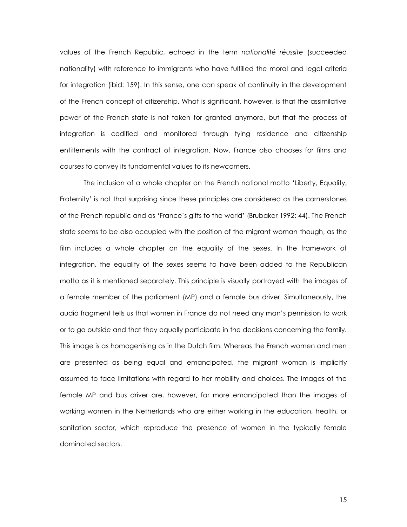values of the French Republic, echoed in the term *nationalité réussite* (succeeded nationality) with reference to immigrants who have fulfilled the moral and legal criteria for integration (ibid: 159). In this sense, one can speak of continuity in the development of the French concept of citizenship. What is significant, however, is that the assimilative power of the French state is not taken for granted anymore, but that the process of integration is codified and monitored through tying residence and citizenship entitlements with the contract of integration. Now, France also chooses for films and courses to convey its fundamental values to its newcomers.

The inclusion of a whole chapter on the French national motto 'Liberty, Equality, Fraternity' is not that surprising since these principles are considered as the cornerstones of the French republic and as 'France's gifts to the world' (Brubaker 1992: 44). The French state seems to be also occupied with the position of the migrant woman though, as the film includes a whole chapter on the equality of the sexes. In the framework of integration, the equality of the sexes seems to have been added to the Republican motto as it is mentioned separately. This principle is visually portrayed with the images of a female member of the parliament (MP) and a female bus driver. Simultaneously, the audio fragment tells us that women in France do not need any man's permission to work or to go outside and that they equally participate in the decisions concerning the family. This image is as homogenising as in the Dutch film. Whereas the French women and men are presented as being equal and emancipated, the migrant woman is implicitly assumed to face limitations with regard to her mobility and choices. The images of the female MP and bus driver are, however, far more emancipated than the images of working women in the Netherlands who are either working in the education, health, or sanitation sector, which reproduce the presence of women in the typically female dominated sectors.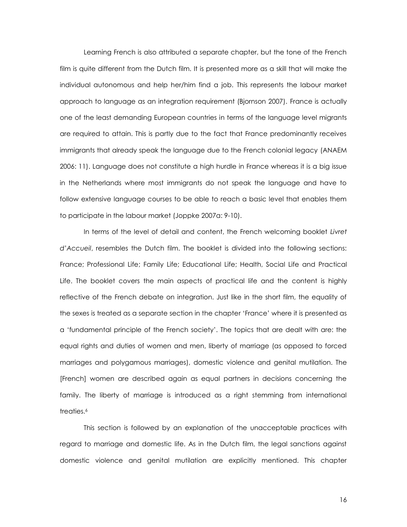Learning French is also attributed a separate chapter, but the tone of the French film is quite different from the Dutch film. It is presented more as a skill that will make the individual autonomous and help her/him find a job. This represents the labour market approach to language as an integration requirement (Bjornson 2007). France is actually one of the least demanding European countries in terms of the language level migrants are required to attain. This is partly due to the fact that France predominantly receives immigrants that already speak the language due to the French colonial legacy (ANAEM 2006: 11). Language does not constitute a high hurdle in France whereas it is a big issue in the Netherlands where most immigrants do not speak the language and have to follow extensive language courses to be able to reach a basic level that enables them to participate in the labour market (Joppke 2007a: 9-10).

In terms of the level of detail and content, the French welcoming booklet *Livret d'Accueil*, resembles the Dutch film. The booklet is divided into the following sections: France; Professional Life; Family Life; Educational Life; Health, Social Life and Practical Life. The booklet covers the main aspects of practical life and the content is highly reflective of the French debate on integration. Just like in the short film, the equality of the sexes is treated as a separate section in the chapter 'France' where it is presented as a 'fundamental principle of the French society'. The topics that are dealt with are: the equal rights and duties of women and men, liberty of marriage (as opposed to forced marriages and polygamous marriages), domestic violence and genital mutilation. The [French] women are described again as equal partners in decisions concerning the family. The liberty of marriage is introduced as a right stemming from international treaties.<sup>6</sup>

This section is followed by an explanation of the unacceptable practices with regard to marriage and domestic life. As in the Dutch film, the legal sanctions against domestic violence and genital mutilation are explicitly mentioned. This chapter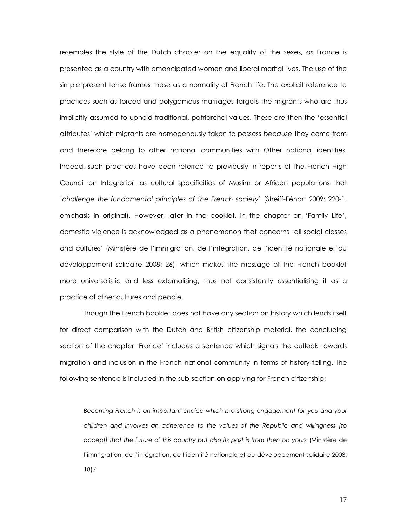resembles the style of the Dutch chapter on the equality of the sexes, as France is presented as a country with emancipated women and liberal marital lives. The use of the simple present tense frames these as a normality of French life. The explicit reference to practices such as forced and polygamous marriages targets the migrants who are thus implicitly assumed to uphold traditional, patriarchal values. These are then the 'essential attributes' which migrants are homogenously taken to possess *because* they come from and therefore belong to other national communities with Other national identities. Indeed, such practices have been referred to previously in reports of the French High Council on Integration as cultural specificities of Muslim or African populations that '*challenge the fundamental principles of the French society*' (Streiff-Fénart 2009: 220-1, emphasis in original). However, later in the booklet, in the chapter on 'Family Life', domestic violence is acknowledged as a phenomenon that concerns 'all social classes and cultures' (Ministère de l'immigration, de l'intégration, de l'identité nationale et du développement solidaire 2008: 26), which makes the message of the French booklet more universalistic and less externalising, thus not consistently essentialising it as a practice of other cultures and people.

Though the French booklet does not have any section on history which lends itself for direct comparison with the Dutch and British citizenship material, the concluding section of the chapter 'France' includes a sentence which signals the outlook towards migration and inclusion in the French national community in terms of history-telling. The following sentence is included in the sub-section on applying for French citizenship:

*Becoming French is an important choice which is a strong engagement for you and your children and involves an adherence to the values of the Republic and willingness [to accept] that the future of this country but also its past is from then on yours* (Ministère de l'immigration, de l'intégration, de l'identité nationale et du développement solidaire 2008: 18). *7*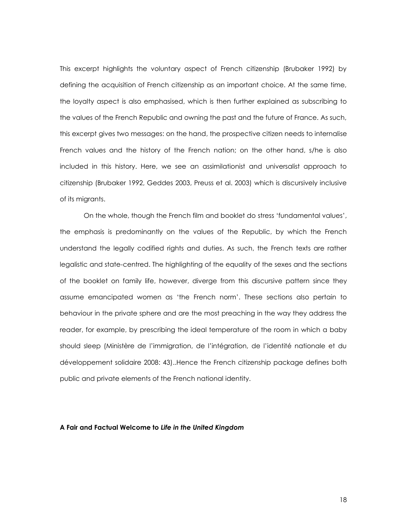This excerpt highlights the voluntary aspect of French citizenship (Brubaker 1992) by defining the acquisition of French citizenship as an important choice. At the same time, the loyalty aspect is also emphasised, which is then further explained as subscribing to the values of the French Republic and owning the past and the future of France. As such, this excerpt gives two messages: on the hand, the prospective citizen needs to internalise French values and the history of the French nation; on the other hand, s/he is also included in this history. Here, we see an assimilationist and universalist approach to citizenship (Brubaker 1992, Geddes 2003, Preuss et al. 2003) which is discursively inclusive of its migrants.

On the whole, though the French film and booklet do stress 'fundamental values', the emphasis is predominantly on the values of the Republic, by which the French understand the legally codified rights and duties. As such, the French texts are rather legalistic and state-centred. The highlighting of the equality of the sexes and the sections of the booklet on family life, however, diverge from this discursive pattern since they assume emancipated women as 'the French norm'. These sections also pertain to behaviour in the private sphere and are the most preaching in the way they address the reader, for example, by prescribing the ideal temperature of the room in which a baby should sleep (Ministère de l'immigration, de l'intégration, de l'identité nationale et du développement solidaire 2008: 43)..Hence the French citizenship package defines both public and private elements of the French national identity.

### **A Fair and Factual Welcome to** *Life in the United Kingdom*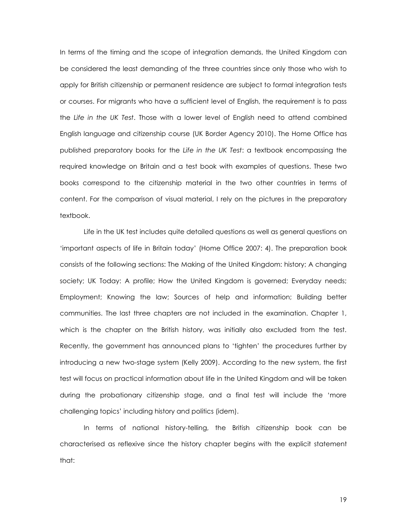In terms of the timing and the scope of integration demands, the United Kingdom can be considered the least demanding of the three countries since only those who wish to apply for British citizenship or permanent residence are subject to formal integration tests or courses. For migrants who have a sufficient level of English, the requirement is to pass the *Life in the UK Test*. Those with a lower level of English need to attend combined English language and citizenship course (UK Border Agency 2010). The Home Office has published preparatory books for the *Life in the UK Test*: a textbook encompassing the required knowledge on Britain and a test book with examples of questions. These two books correspond to the citizenship material in the two other countries in terms of content. For the comparison of visual material, I rely on the pictures in the preparatory textbook.

Life in the UK test includes quite detailed questions as well as general questions on 'important aspects of life in Britain today' (Home Office 2007: 4). The preparation book consists of the following sections: The Making of the United Kingdom: history; A changing society; UK Today: A profile; How the United Kingdom is governed; Everyday needs; Employment; Knowing the law; Sources of help and information; Building better communities. The last three chapters are not included in the examination. Chapter 1, which is the chapter on the British history, was initially also excluded from the test. Recently, the government has announced plans to 'tighten' the procedures further by introducing a new two-stage system (Kelly 2009). According to the new system, the first test will focus on practical information about life in the United Kingdom and will be taken during the probationary citizenship stage, and a final test will include the 'more challenging topics' including history and politics (idem).

In terms of national history-telling, the British citizenship book can be characterised as reflexive since the history chapter begins with the explicit statement that: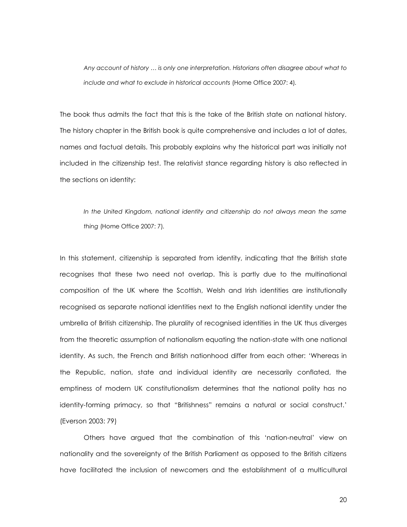*Any account of history … is only one interpretation. Historians often disagree about what to include and what to exclude in historical accounts* (Home Office 2007: 4)*.*

The book thus admits the fact that this is the take of the British state on national history. The history chapter in the British book is quite comprehensive and includes a lot of dates, names and factual details. This probably explains why the historical part was initially not included in the citizenship test. The relativist stance regarding history is also reflected in the sections on identity:

*In the United Kingdom, national identity and citizenship do not always mean the same thing* (Home Office 2007: 7)*.*

In this statement, citizenship is separated from identity, indicating that the British state recognises that these two need not overlap. This is partly due to the multinational composition of the UK where the Scottish, Welsh and Irish identities are institutionally recognised as separate national identities next to the English national identity under the umbrella of British citizenship. The plurality of recognised identities in the UK thus diverges from the theoretic assumption of nationalism equating the nation-state with one national identity. As such, the French and British nationhood differ from each other: 'Whereas in the Republic, nation, state and individual identity are necessarily conflated, the emptiness of modern UK constitutionalism determines that the national polity has no identity-forming primacy, so that "Britishness" remains a natural or social construct.' (Everson 2003: 79)

Others have argued that the combination of this 'nation-neutral' view on nationality and the sovereignty of the British Parliament as opposed to the British citizens have facilitated the inclusion of newcomers and the establishment of a multicultural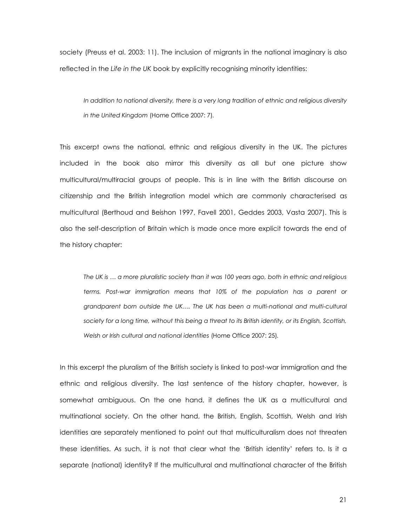society (Preuss et al. 2003: 11). The inclusion of migrants in the national imaginary is also reflected in the *Life in the UK* book by explicitly recognising minority identities:

*In addition to national diversity, there is a very long tradition of ethnic and religious diversity in the United Kingdom* (Home Office 2007: 7)*.*

This excerpt owns the national, ethnic and religious diversity in the UK. The pictures included in the book also mirror this diversity as all but one picture show multicultural/multiracial groups of people. This is in line with the British discourse on citizenship and the British integration model which are commonly characterised as multicultural (Berthoud and Beishon 1997, Favell 2001, Geddes 2003, Vasta 2007). This is also the self-description of Britain which is made once more explicit towards the end of the history chapter:

*The UK is … a more pluralistic society than it was 100 years ago, both in ethnic and religious terms. Post-war immigration means that 10% of the population has a parent or grandparent born outside the UK…. The UK has been a multi-national and multi-cultural society for a long time, without this being a threat to its British identity, or its English, Scottish, Welsh or Irish cultural and national identities* (Home Office 2007: 25)*.*

In this excerpt the pluralism of the British society is linked to post-war immigration and the ethnic and religious diversity. The last sentence of the history chapter, however, is somewhat ambiguous. On the one hand, it defines the UK as a multicultural and multinational society. On the other hand, the British, English, Scottish, Welsh and Irish identities are separately mentioned to point out that multiculturalism does not threaten these identities. As such, it is not that clear what the 'British identity' refers to. Is it a separate (national) identity? If the multicultural and multinational character of the British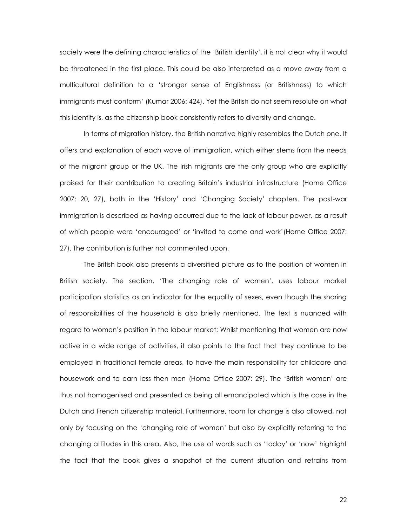society were the defining characteristics of the 'British identity', it is not clear why it would be threatened in the first place. This could be also interpreted as a move away from a multicultural definition to a 'stronger sense of Englishness (or Britishness) to which immigrants must conform' (Kumar 2006: 424). Yet the British do not seem resolute on what this identity is, as the citizenship book consistently refers to diversity and change.

In terms of migration history, the British narrative highly resembles the Dutch one. It offers and explanation of each wave of immigration, which either stems from the needs of the migrant group or the UK. The Irish migrants are the only group who are explicitly praised for their contribution to creating Britain's industrial infrastructure (Home Office 2007: 20, 27), both in the 'History' and 'Changing Society' chapters. The post-war immigration is described as having occurred due to the lack of labour power, as a result of which people were 'encouraged' or 'invited to come and work'(Home Office 2007: 27). The contribution is further not commented upon.

The British book also presents a diversified picture as to the position of women in British society. The section, 'The changing role of women', uses labour market participation statistics as an indicator for the equality of sexes, even though the sharing of responsibilities of the household is also briefly mentioned. The text is nuanced with regard to women's position in the labour market: Whilst mentioning that women are now active in a wide range of activities, it also points to the fact that they continue to be employed in traditional female areas, to have the main responsibility for childcare and housework and to earn less then men (Home Office 2007: 29). The 'British women' are thus not homogenised and presented as being all emancipated which is the case in the Dutch and French citizenship material. Furthermore, room for change is also allowed, not only by focusing on the 'changing role of women' but also by explicitly referring to the changing attitudes in this area. Also, the use of words such as 'today' or 'now' highlight the fact that the book gives a snapshot of the current situation and refrains from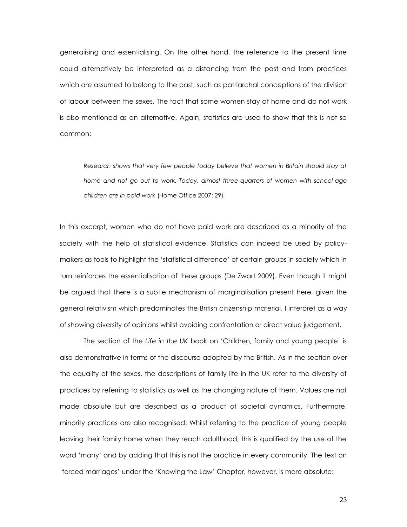generalising and essentialising. On the other hand, the reference to the present time could alternatively be interpreted as a distancing from the past and from practices which are assumed to belong to the past, such as patriarchal conceptions of the division of labour between the sexes. The fact that some women stay at home and do not work is also mentioned as an alternative. Again, statistics are used to show that this is not so common:

Research shows that very few people today believe that women in Britain should stay at *home and not go out to work. Today, almost three-quarters of women with school-age children are in paid work* (Home Office 2007: 29)*.*

In this excerpt, women who do not have paid work are described as a minority of the society with the help of statistical evidence. Statistics can indeed be used by policymakers as tools to highlight the 'statistical difference' of certain groups in society which in turn reinforces the essentialisation of these groups (De Zwart 2009). Even though it might be argued that there is a subtle mechanism of marginalisation present here, given the general relativism which predominates the British citizenship material, I interpret as a way of showing diversity of opinions whilst avoiding confrontation or direct value judgement.

The section of the *Life in the UK* book on 'Children, family and young people' is also demonstrative in terms of the discourse adopted by the British. As in the section over the equality of the sexes, the descriptions of family life in the UK refer to the diversity of practices by referring to statistics as well as the changing nature of them. Values are not made absolute but are described as a product of societal dynamics. Furthermore, minority practices are also recognised: Whilst referring to the practice of young people leaving their family home when they reach adulthood, this is qualified by the use of the word 'many' and by adding that this is not the practice in every community. The text on 'forced marriages' under the 'Knowing the Law' Chapter, however, is more absolute: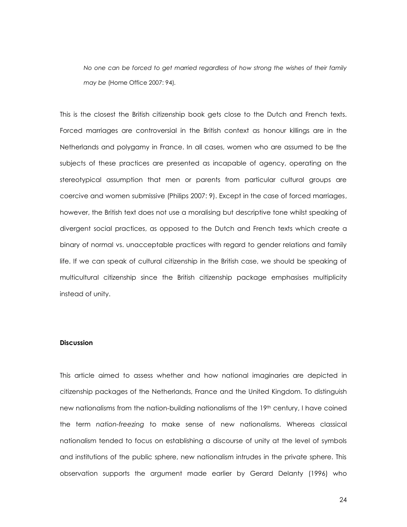*No one can be forced to get married regardless of how strong the wishes of their family may be* (Home Office 2007: 94)*.*

This is the closest the British citizenship book gets close to the Dutch and French texts. Forced marriages are controversial in the British context as honour killings are in the Netherlands and polygamy in France. In all cases, women who are assumed to be the subjects of these practices are presented as incapable of agency, operating on the stereotypical assumption that men or parents from particular cultural groups are coercive and women submissive (Philips 2007: 9). Except in the case of forced marriages, however, the British text does not use a moralising but descriptive tone whilst speaking of divergent social practices, as opposed to the Dutch and French texts which create a binary of normal vs. unacceptable practices with regard to gender relations and family life. If we can speak of cultural citizenship in the British case, we should be speaking of multicultural citizenship since the British citizenship package emphasises multiplicity instead of unity.

#### **Discussion**

This article aimed to assess whether and how national imaginaries are depicted in citizenship packages of the Netherlands, France and the United Kingdom. To distinguish new nationalisms from the nation-building nationalisms of the 19<sup>th</sup> century, I have coined the term *nation-freezing* to make sense of new nationalisms. Whereas classical nationalism tended to focus on establishing a discourse of unity at the level of symbols and institutions of the public sphere, new nationalism intrudes in the private sphere. This observation supports the argument made earlier by Gerard Delanty (1996) who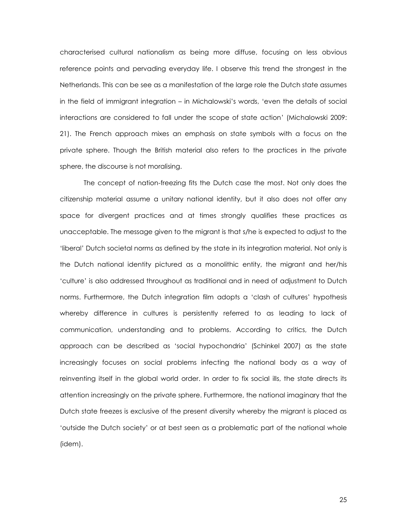characterised cultural nationalism as being more diffuse, focusing on less obvious reference points and pervading everyday life. I observe this trend the strongest in the Netherlands. This can be see as a manifestation of the large role the Dutch state assumes in the field of immigrant integration – in Michalowski's words, 'even the details of social interactions are considered to fall under the scope of state action' (Michalowski 2009: 21). The French approach mixes an emphasis on state symbols with a focus on the private sphere. Though the British material also refers to the practices in the private sphere, the discourse is not moralising.

The concept of nation-freezing fits the Dutch case the most. Not only does the citizenship material assume a unitary national identity, but it also does not offer any space for divergent practices and at times strongly qualifies these practices as unacceptable. The message given to the migrant is that s/he is expected to adjust to the 'liberal' Dutch societal norms as defined by the state in its integration material. Not only is the Dutch national identity pictured as a monolithic entity, the migrant and her/his 'culture' is also addressed throughout as traditional and in need of adjustment to Dutch norms. Furthermore, the Dutch integration film adopts a 'clash of cultures' hypothesis whereby difference in cultures is persistently referred to as leading to lack of communication, understanding and to problems. According to critics, the Dutch approach can be described as 'social hypochondria' (Schinkel 2007) as the state increasingly focuses on social problems infecting the national body as a way of reinventing itself in the global world order. In order to fix social ills, the state directs its attention increasingly on the private sphere. Furthermore, the national imaginary that the Dutch state freezes is exclusive of the present diversity whereby the migrant is placed as 'outside the Dutch society' or at best seen as a problematic part of the national whole (idem).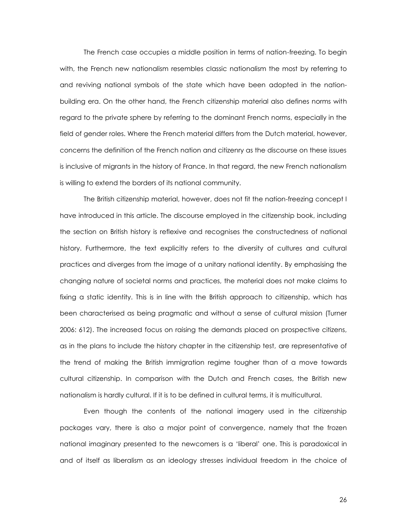The French case occupies a middle position in terms of nation-freezing. To begin with, the French new nationalism resembles classic nationalism the most by referring to and reviving national symbols of the state which have been adopted in the nationbuilding era. On the other hand, the French citizenship material also defines norms with regard to the private sphere by referring to the dominant French norms, especially in the field of gender roles. Where the French material differs from the Dutch material, however, concerns the definition of the French nation and citizenry as the discourse on these issues is inclusive of migrants in the history of France. In that regard, the new French nationalism is willing to extend the borders of its national community.

The British citizenship material, however, does not fit the nation-freezing concept I have introduced in this article. The discourse employed in the citizenship book, including the section on British history is reflexive and recognises the constructedness of national history. Furthermore, the text explicitly refers to the diversity of cultures and cultural practices and diverges from the image of a unitary national identity. By emphasising the changing nature of societal norms and practices, the material does not make claims to fixing a static identity. This is in line with the British approach to citizenship, which has been characterised as being pragmatic and without a sense of cultural mission (Turner 2006: 612). The increased focus on raising the demands placed on prospective citizens, as in the plans to include the history chapter in the citizenship test, are representative of the trend of making the British immigration regime tougher than of a move towards cultural citizenship. In comparison with the Dutch and French cases, the British new nationalism is hardly cultural. If it is to be defined in cultural terms, it is multicultural.

Even though the contents of the national imagery used in the citizenship packages vary, there is also a major point of convergence, namely that the frozen national imaginary presented to the newcomers is a 'liberal' one. This is paradoxical in and of itself as liberalism as an ideology stresses individual freedom in the choice of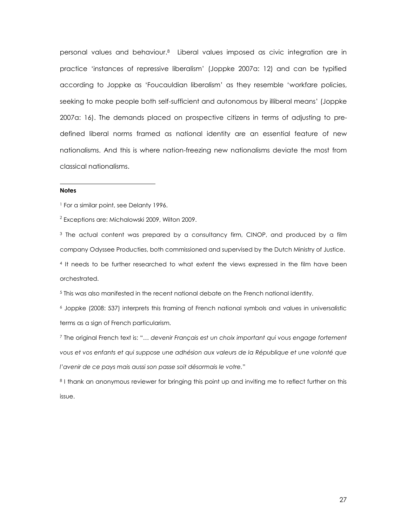personal values and behaviour. <sup>8</sup> Liberal values imposed as civic integration are in practice 'instances of repressive liberalism' (Joppke 2007a: 12) and can be typified according to Joppke as 'Foucauldian liberalism' as they resemble 'workfare policies, seeking to make people both self-sufficient and autonomous by illiberal means' (Joppke 2007a: 16). The demands placed on prospective citizens in terms of adjusting to predefined liberal norms framed as national identity are an essential feature of new nationalisms. And this is where nation-freezing new nationalisms deviate the most from classical nationalisms.

#### **Notes**

l

<sup>1</sup> For a similar point, see Delanty 1996.

 $^2$  Exceptions are: Michalowski 2009, Wilton 2009.

 $3$  The actual content was prepared by a consultancy firm, CINOP, and produced by a film company Odyssee Producties, both commissioned and supervised by the Dutch Ministry of Justice.

4 It needs to be further researched to what extent the views expressed in the film have been orchestrated.

<sup>5</sup> This was also manifested in the recent national debate on the French national identity.

<sup>6</sup> Joppke (2008: 537) interprets this framing of French national symbols and values in universalistic terms as a sign of French particularism.

<sup>7</sup> The original French text is: "… *devenir Français est un choix important qui vous engage fortement vous et vos enfants et qui suppose une adhésion aux valeurs de la République et une volonté que l'avenir de ce pays mais aussi son passe soit désormais le votre.*"

8 I thank an anonymous reviewer for bringing this point up and inviting me to reflect further on this issue.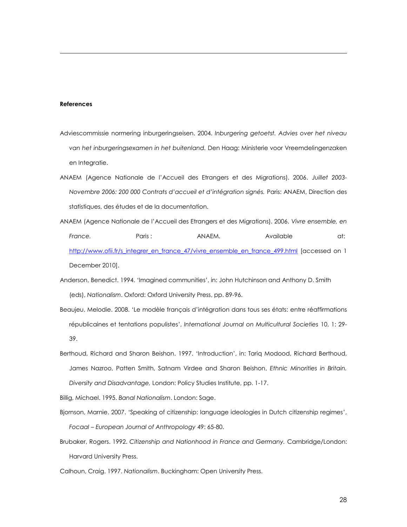#### **References**

l

- Adviescommissie normering inburgeringseisen. 2004. *Inburgering getoetst. Advies over het niveau van het inburgeringsexamen in het buitenland.* Den Haag: Ministerie voor Vreemdelingenzaken en Integratie.
- ANAEM (Agence Nationale de l'Accueil des Etrangers et des Migrations). 2006. *Juillet 2003- Novembre 2006: 200 000 Contrats d'accueil et d'intégration signés.* Paris: ANAEM, Direction des statistiques, des études et de la documentation.
- ANAEM (Agence Nationale de l'Accueil des Etrangers et des Migrations). 2006. *Vivre ensemble, en France.* Paris : ANAEM. Available at: [http://www.ofii.fr/s\\_integrer\\_en\\_france\\_47/vivre\\_ensemble\\_en\\_france\\_499.html](http://www.ofii.fr/s_integrer_en_france_47/vivre_ensemble_en_france_499.html) [accessed on 1 December 2010].
- Anderson, Benedict. 1994. 'Imagined communities', in: John Hutchinson and Anthony D. Smith (eds), *Nationalism*. Oxford: Oxford University Press, pp. 89-96.
- Beaujeu, Melodie. 2008. 'Le modèle français d'intégration dans tous ses états: entre réaffirmations républicaines et tentations populistes', *International Journal on Multicultural Societies* 10, 1: 29- 39.
- Berthoud, Richard and Sharon Beishon. 1997. 'Introduction', in: Tariq Modood, Richard Berthoud, James Nazroo, Patten Smith, Satnam Virdee and Sharon Beishon, *Ethnic Minorities in Britain. Diversity and Disadvantage,* London: Policy Studies Institute, pp. 1-17.
- Billig, Michael. 1995. *Banal Nationalism*. London: Sage.
- Bjornson, Marnie. 2007. 'Speaking of citizenship: language ideologies in Dutch citizenship regimes', *Focaal – European Journal of Anthropology* 49: 65-80.
- Brubaker, Rogers. 1992. *Citizenship and Nationhood in France and Germany.* Cambridge/London: Harvard University Press.
- Calhoun, Craig. 1997. *Nationalism*. Buckingham: Open University Press.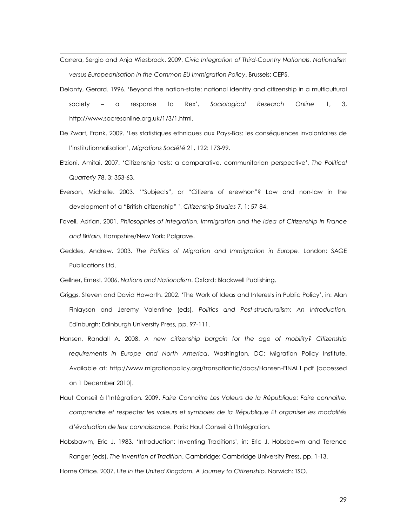Carrera, Sergio and Anja Wiesbrock. 2009. *Civic Integration of Third-Country Nationals. Nationalism versus Europeanisation in the Common EU Immigration Policy*. Brussels: CEPS.

l

- Delanty, Gerard. 1996. 'Beyond the nation-state: national identity and citizenship in a multicultural society – a response to Rex', *Sociological Research Online* 1, 3, http://www.socresonline.org.uk/1/3/1.html.
- De Zwart, Frank. 2009. 'Les statistiques ethniques aux Pays-Bas: les conséquences involontaires de l'institutionnalisation', *Migrations Société* 21, 122: 173-99.
- Etzioni, Amitai. 2007. 'Citizenship tests: a comparative, communitarian perspective', *The Political Quarterly* 78, 3: 353-63.
- Everson, Michelle. 2003. '"Subjects", or "Citizens of erewhon"? Law and non-law in the development of a "British citizenship" ', *Citizenship Studies* 7, 1: 57-84.
- Favell, Adrian. 2001. *Philosophies of Integration. Immigration and the Idea of Citizenship in France and Britain.* Hampshire/New York: Palgrave.
- Geddes, Andrew. 2003. *The Politics of Migration and Immigration in Europe*. London: SAGE Publications Ltd.

Gellner, Ernest. 2006. *Nations and Nationalism*. Oxford: Blackwell Publishing.

- Griggs, Steven and David Howarth. 2002. 'The Work of Ideas and Interests in Public Policy', in: Alan Finlayson and Jeremy Valentine (eds), *Politics and Post-structuralism: An Introduction.* Edinburgh: Edinburgh University Press, pp. 97-111.
- Hansen, Randall A. 2008. *A new citizenship bargain for the age of mobility? Citizenship requirements in Europe and North America*, Washington, DC: Migration Policy Institute. Available at: http://www.migrationpolicy.org/transatlantic/docs/Hansen-FINAL1.pdf [accessed on 1 December 2010].
- Haut Conseil à l'Intégration. 2009. *Faire Connaitre Les Valeurs de la République: Faire connaitre, comprendre et respecter les valeurs et symboles de la République Et organiser les modalités d'évaluation de leur connaissance.* Paris: Haut Conseil à l'Intégration.
- Hobsbawm, Eric J. 1983. 'Introduction: Inventing Traditions', in: Eric J. Hobsbawm and Terence Ranger (eds), *The Invention of Tradition*. Cambridge: Cambridge University Press, pp. 1-13.

Home Office. 2007. *Life in the United Kingdom. A Journey to Citizenship.* Norwich: TSO.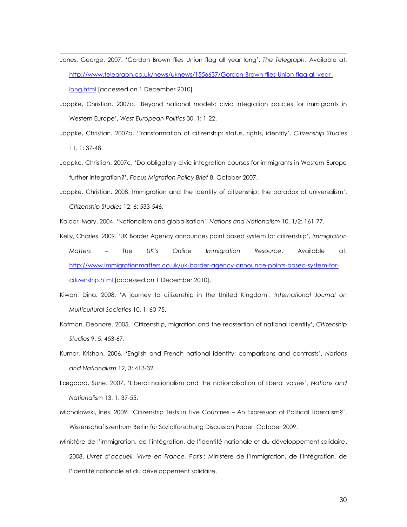Jones, George. 2007. 'Gordon Brown flies Union flag all year long', *The Telegraph*. Available at: [http://www.telegraph.co.uk/news/uknews/1556637/Gordon-Brown-flies-Union-flag-all-year](http://www.telegraph.co.uk/news/uknews/1556637/Gordon-Brown-flies-Union-flag-all-year-long.html)[long.html](http://www.telegraph.co.uk/news/uknews/1556637/Gordon-Brown-flies-Union-flag-all-year-long.html) [accessed on 1 December 2010]

l

- Joppke, Christian. 2007a. 'Beyond national models: civic integration policies for immigrants in Western Europe', *West European Politics* 30, 1: 1-22.
- Joppke, Christian. 2007b. 'Transformation of citizenship: status, rights, identity', *Citizenship Studies* 11, 1: 37-48.
- Joppke, Christian. 2007c. 'Do obligatory civic integration courses for immigrants in Western Europe further integration?', *Focus Migration Policy Brief* 8, October 2007.
- Joppke, Christian. 2008. Immigration and the identity of citizenship: the paradox of universalism', *Citizenship Studies* 12, 6: 533-546.

Kaldor, Mary. 2004. 'Nationalism and globalisation', *Nations and Nationalism* 10, 1/2: 161-77.

- Kelly, Charles. 2009. 'UK Border Agency announces point based system for citizenship', *Immigration Matters – The UK's Online Immigration Resource*. Available at: [http://www.immigrationmatters.co.uk/uk-border-agency-announce-points-based-system-for](http://www.immigrationmatters.co.uk/uk-border-agency-announce-points-based-system-for-citizenship.html)[citizenship.html](http://www.immigrationmatters.co.uk/uk-border-agency-announce-points-based-system-for-citizenship.html) [accessed on 1 December 2010].
- Kiwan, Dina. 2008. 'A journey to citizenship in the United Kingdom', *International Journal on Multicultural Societies* 10, 1: 60-75.
- Kofman, Eleonore. 2005. 'Citizenship, migration and the reassertion of national identity', *Citizenship Studies* 9, 5: 453-67.
- Kumar, Krishan. 2006. 'English and French national identity: comparisons and contrasts', *Nations and Nationalism* 12, 3: 413-32.
- Lægaard, Sune. 2007. 'Liberal nationalism and the nationalisation of liberal values', *Nations and Nationalism* 13, 1: 37-55.
- Michalowski, Ines. 2009. 'Citizenship Tests in Five Countries An Expression of Political Liberalism?', Wissenschaftszentrum Berlin für Sozialforschung Discussion Paper, October 2009.
- Ministère de l'immigration, de l'intégration, de l'identité nationale et du développement solidaire. 2008. *Livret d'accueil. Vivre en France.* Paris : Ministère de l'immigration, de l'intégration, de l'identité nationale et du développement solidaire.